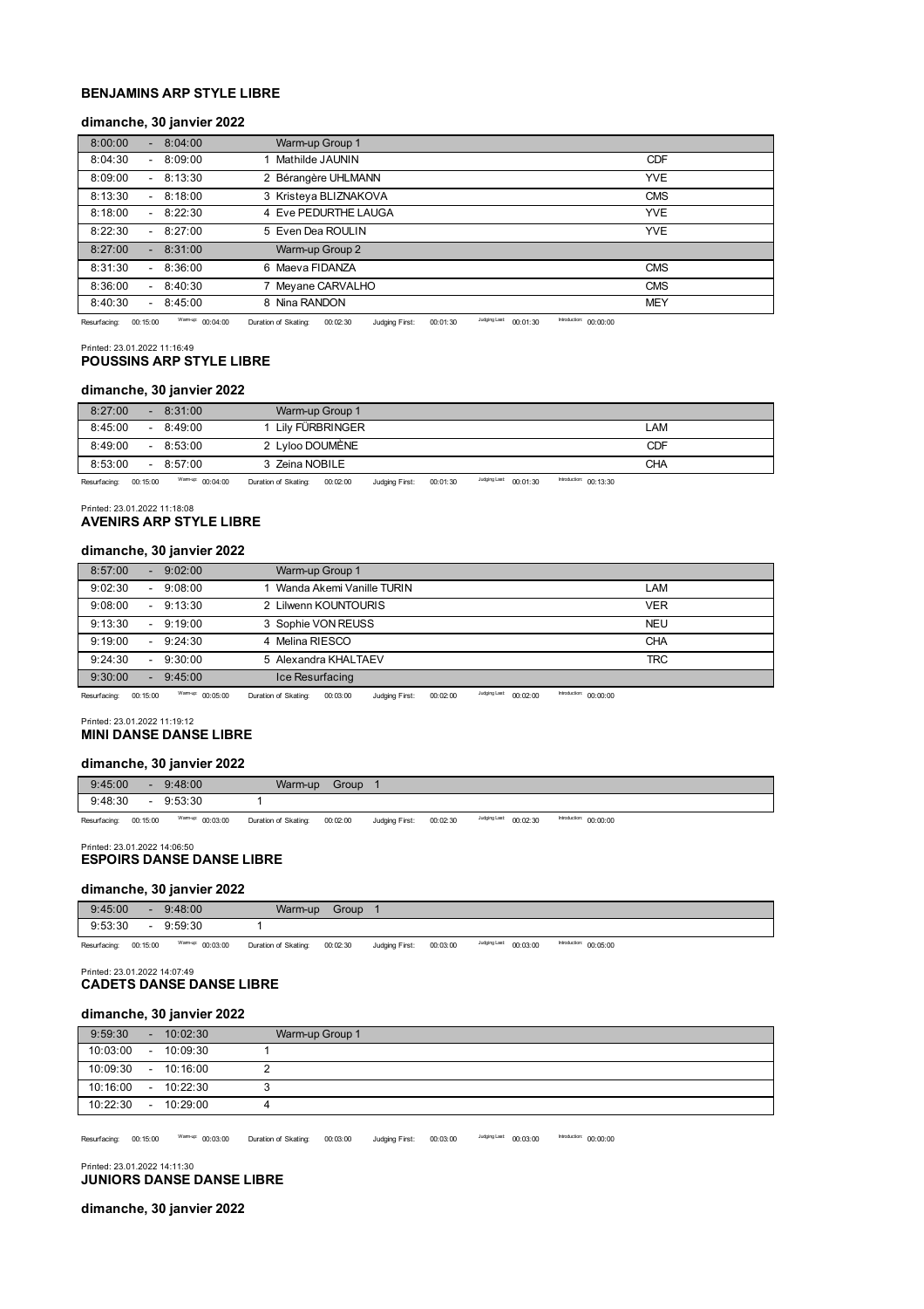# **BENJAMINS ARP STYLE LIBRE**

## **dimanche, 30 janvier 2022**

| 8:00:00<br>8:04:00<br>$\sim$                   | Warm-up Group 1       |            |
|------------------------------------------------|-----------------------|------------|
| 8:04:30<br>$-8:09:00$                          | Mathilde JAUNIN       | <b>CDF</b> |
| 8:13:30<br>8:09:00<br>$\overline{\phantom{a}}$ | 2 Bérangère UHLMANN   | <b>YVE</b> |
| 8:13:30<br>8:18:00<br>$\overline{\phantom{a}}$ | 3 Kristeya BLIZNAKOVA | <b>CMS</b> |
| 8:18:00<br>8:22:30<br>$\overline{\phantom{a}}$ | 4 Eve PEDURTHE LAUGA  | <b>YVE</b> |
| 8:22:30<br>$-8:27:00$                          | 5 Even Dea ROULIN     | <b>YVE</b> |
| 8:27:00<br>8:31:00<br>۰.                       | Warm-up Group 2       |            |
| 8:31:30<br>8:36:00                             | 6 Maeva FIDANZA       | <b>CMS</b> |
| 8:36:00<br>8:40:30<br>$\sim$                   | 7 Meyane CARVALHO     | <b>CMS</b> |
| 8:40:30<br>8:45:00                             | 8 Nina RANDON         | <b>MEY</b> |
|                                                |                       |            |

Resurfacing: 00:15:00 Warm-up: 00:04:00 Duration of Skating: 00:02:30 Judging First: 00:01:30 Judging Last: 00:01:30 Introduction: 00:00:00

Printed: 23.01.2022 11:16:49

## **POUSSINS ARP STYLE LIBRE**

## **dimanche, 30 janvier 2022**

| 8:27:00                                          | <b>CONTRACTOR</b> | 8:31:00          | Warm-up Group 1                                                                                                                                                                                                                      |                                                  |
|--------------------------------------------------|-------------------|------------------|--------------------------------------------------------------------------------------------------------------------------------------------------------------------------------------------------------------------------------------|--------------------------------------------------|
| 8:45:00                                          |                   | $-8:49:00$       | Lilv FÜRBRINGER                                                                                                                                                                                                                      | LAM                                              |
| 8:49:00                                          |                   | $-8:53:00$       | 2 Lyloo DOUMÈNE                                                                                                                                                                                                                      | CDF                                              |
| 8:53:00                                          |                   | $-8:57:00$       | 3 Zeina NOBILE                                                                                                                                                                                                                       | CHA                                              |
| $\sim$ $\sim$ $\sim$ $\sim$ $\sim$ $\sim$ $\sim$ |                   | Warmin' on or on | <u>in a construction on open on the construction of the construction of the construction of the construction of the construction of the construction of the construction of the construction of the construction of the construc</u> | Introduction: on so on<br>Judging Last on one on |

Resurfacing: 00:15:00 Warm-up: 00:04:00 Duration of Skating: 00:02:00 Judging First: 00:01:30 Maging Last: 00:01:30 Maging Last: 00:13:30

Printed: 23.01.2022 11:18:08 **AVENIRS ARP STYLE LIBRE**

## **dimanche, 30 janvier 2022**

| 8:57:00 | $-9:02:00$           | Warm-up Group 1             |            |
|---------|----------------------|-----------------------------|------------|
| 9:02:30 | 9:08:00<br>$\sim$    | 1 Wanda Akemi Vanille TURIN | LAM        |
| 9:08:00 | $-9:13:30$           | 2 Lilwenn KOUNTOURIS        | <b>VER</b> |
| 9:13:30 | $-9:19:00$           | 3 Sophie VON REUSS          | <b>NEU</b> |
| 9:19:00 | $-9:24:30$           | 4 Melina RIESCO             | <b>CHA</b> |
| 9:24:30 | 9:30:00<br>$\sim$    | 5 Alexandra KHALTAEV        | <b>TRC</b> |
| 9:30:00 | 9:45:00<br><b>м.</b> | Ice Resurfacing             |            |

Resurfacing: 00:15:00 Warm-up: 00:05:00 Duration of Skating: 00:03:00 Judging First: 00:02:00 <sup>Judging Last:</sup> 00:02:00 Introduction: 00:00:00

Printed: 23.01.2022 11:19:12 **MINI DANSE DANSE LIBRE**

## **dimanche, 30 janvier 2022**

| 9:45:00 | ٠ | 9:48:00                                   | Warm-up | Group |        |  |
|---------|---|-------------------------------------------|---------|-------|--------|--|
| 9:48:30 | - | 9:53:30                                   |         |       |        |  |
|         |   | $\sim$ $\sim$ $\sim$ $\sim$ $\sim$ $\sim$ |         |       | .<br>. |  |

Resurfacing: 00:15:00 Warm-up: 00:03:00 Duration of Skating: 00:02:00 Judging First: 00:02:30 <sup>Judging Last</sup>: 00:02:30 <sup>Introduction:</sup> 00:00:00

#### Printed: 23.01.2022 14:06:50 **ESPOIRS DANSE DANSE LIBRE**

### **dimanche, 30 janvier 2022**

| 9:45:00                                         | 9:48:00                                                                                                                                                                                                                             | Warm-up | Group |  |                                      |                                           |  |
|-------------------------------------------------|-------------------------------------------------------------------------------------------------------------------------------------------------------------------------------------------------------------------------------------|---------|-------|--|--------------------------------------|-------------------------------------------|--|
| 9:53:30                                         | 9:59:30                                                                                                                                                                                                                             |         |       |  |                                      |                                           |  |
| the contract of the contract of the contract of | <b>IM Contract A service</b> and the contract of the contract of the contract of the contract of the contract of the contract of the contract of the contract of the contract of the contract of the contract of the contract of th |         |       |  | <b>Business Leads Communications</b> | <b>Restaurable and Superior Committee</b> |  |

Resurfacing: 00:15:00 Warm-up: 00:03:00 Duration of Skating: 00:02:30 Judging First: 00:03:00 Judging Last: 00:03:00 Introduction: 00:05:00

Printed: 23.01.2022 14:07:49

## **CADETS DANSE DANSE LIBRE**

## **dimanche, 30 janvier 2022**

| 9:59:30  | $\sim 100$      | 10:02:30    | Warm-up Group 1 |
|----------|-----------------|-------------|-----------------|
| 10:03:00 | $\sim$ 10 $\pm$ | 10:09:30    |                 |
| 10:09:30 |                 | $-10:16:00$ |                 |
| 10:16:00 | $\sim$ 10 $\pm$ | 10:22:30    |                 |
| 10:22:30 | $\sim$          | 10:29:00    |                 |

Resurfacing: 00:15:00 Warm-up: 00:03:00 Duration of Skating: 00:03:00 Judging First: 00:03:00 <sup>Judging Last</sup>: 00:03:00 <sup>Introduction:</sup> 00:00:00

Printed: 23.01.2022 14:11:30 **JUNIORS DANSE DANSE LIBRE**

**dimanche, 30 janvier 2022**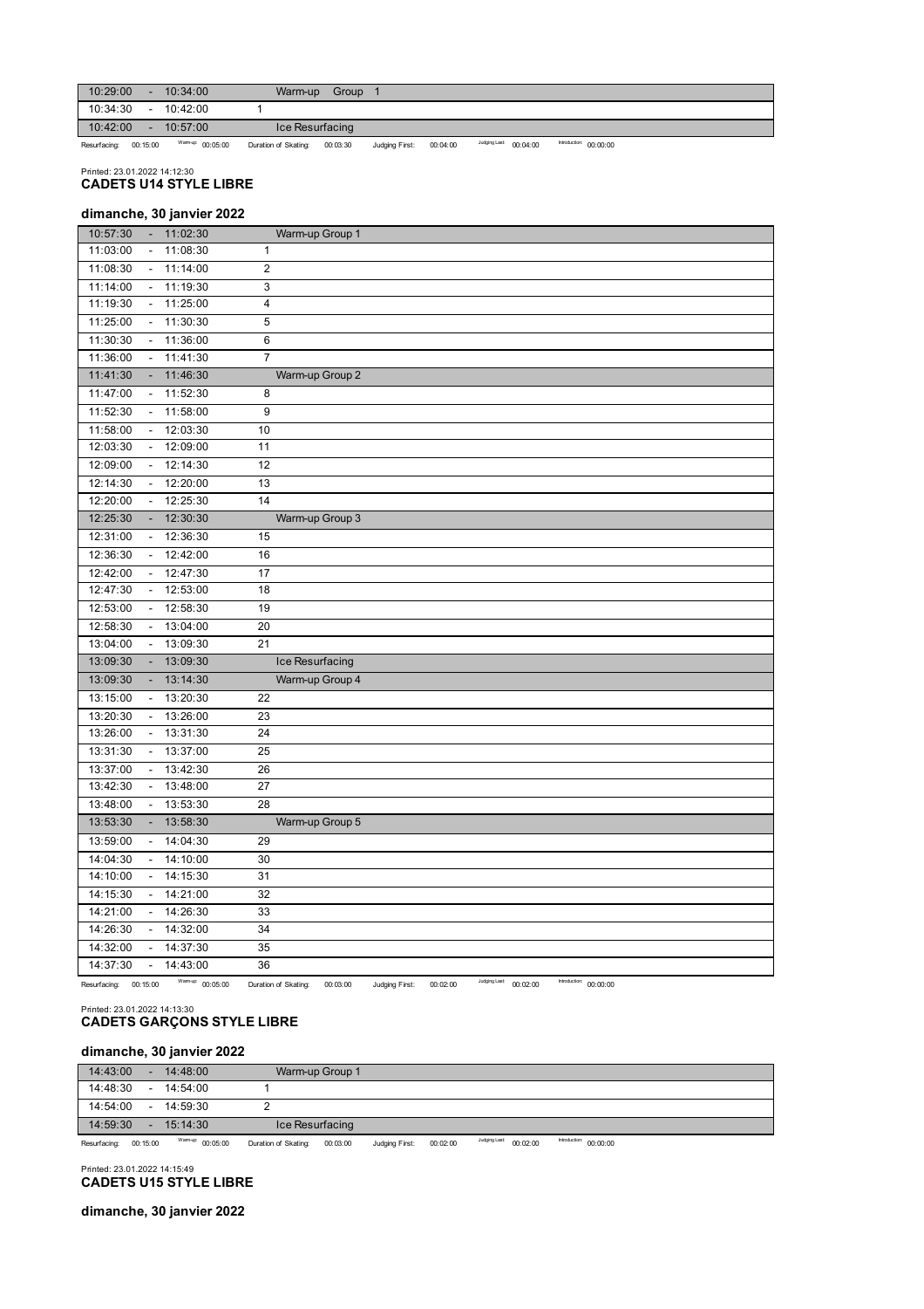| 10:29:00     |                          | 10:34:00         | Warm-up              | Group    |                |          |                        |                        |  |
|--------------|--------------------------|------------------|----------------------|----------|----------------|----------|------------------------|------------------------|--|
| 10:34:30     | $\overline{\phantom{a}}$ | 10:42:00         |                      |          |                |          |                        |                        |  |
| 10:42:00     |                          | 10:57:00         | Ice Resurfacing      |          |                |          |                        |                        |  |
| Resurfacing: | 00:15:00                 | Warmup: 00:05:00 | Duration of Skating: | 00:03:30 | Judging First: | 00:04:00 | Judging Last: 00:04:00 | Introduction: 00:00:00 |  |

Printed: 23.01.2022 14:12:30 **CADETS U14 STYLE LIBRE**

## 10:57:30 - 11:02:30 11:03:00 - 11:08:30 1 11:08:30 - 11:14:00 2 11:14:00 - 11:19:30 3 11:19:30 - 11:25:00 4 11:25:00 - 11:30:30 5 11:30:30 - 11:36:00 6 11:36:00 - 11:41:30 7 11:41:30 - 11:46:30 11:47:00 - 11:52:30 8 11:52:30 - 11:58:00 9 11:58:00 - 12:03:30 10 12:03:30 - 12:09:00 11 12:09:00 - 12:14:30 12 Warm-up Group 1 Warm-up Group 2 **dimanche, 30 janvier 2022**

| .        |                          |             |                 | $$ $v_{p}$ $v_{p}$ |
|----------|--------------------------|-------------|-----------------|--------------------|
| 11:47:00 |                          | $-11:52:30$ | 8               |                    |
| 11:52:30 |                          | 11:58:00    | 9               |                    |
| 11:58:00 | $\blacksquare$           | 12:03:30    | 10              |                    |
| 12:03:30 | $\blacksquare$           | 12:09:00    | 11              |                    |
| 12:09:00 |                          | $-12:14:30$ | 12              |                    |
| 12:14:30 |                          | 12:20:00    | 13              |                    |
| 12:20:00 |                          | 12:25:30    | 14              |                    |
| 12:25:30 | ۰.                       | 12:30:30    |                 | Warm-up Group 3    |
| 12:31:00 |                          | $-12:36:30$ | 15              |                    |
| 12:36:30 |                          | 12:42:00    | 16              |                    |
| 12:42:00 | $\sim$                   | 12:47:30    | 17              |                    |
| 12:47:30 |                          | $-12:53:00$ | 18              |                    |
| 12:53:00 |                          | 12:58:30    | 19              |                    |
| 12:58:30 |                          | 13:04:00    | 20              |                    |
| 13:04:00 | $\sim$                   | 13:09:30    | $\overline{21}$ |                    |
| 13:09:30 |                          | $-13:09:30$ |                 | Ice Resurfacing    |
| 13:09:30 |                          | $-13:14:30$ |                 | Warm-up Group 4    |
| 13:15:00 |                          | 13:20:30    | 22              |                    |
| 13:20:30 | $\sim$                   | 13:26:00    | 23              |                    |
| 13:26:00 |                          | 13:31:30    | 24              |                    |
| 13:31:30 |                          | 13:37:00    | 25              |                    |
| 13:37:00 |                          | 13:42:30    | 26              |                    |
| 13:42:30 | $\blacksquare$           | 13:48:00    | 27              |                    |
| 13:48:00 |                          | $-13:53:30$ | 28              |                    |
| 13:53:30 |                          | $-13:58:30$ |                 | Warm-up Group 5    |
| 13:59:00 | $\sim$                   | 14:04:30    | 29              |                    |
| 14:04:30 | $\overline{\phantom{a}}$ | 14:10:00    | 30              |                    |
| 14:10:00 |                          | $-14:15:30$ | 31              |                    |
| 14:15:30 | $\overline{\phantom{a}}$ | 14:21:00    | 32              |                    |
| 14:21:00 | $\sim$                   | 14:26:30    | 33              |                    |
| 14:26:30 | $\sim$                   | 14:32:00    | 34              |                    |
| 14:32:00 |                          | 14:37:30    | 35              |                    |
| 14:37:30 |                          | 14:43:00    | 36              |                    |

Resurfacing: 00:15:00 Warm-up: 00:05:00 Duration of Skating: 00:03:00 Judging First: 00:02:00 <sup>Judging Last</sup>: 00:02:00 <sup>Introduction:</sup> 00:00:00

# Printed: 23.01.2022 14:13:30 **CADETS GARÇONS STYLE LIBRE**

# **dimanche, 30 janvier 2022**

| 14:43:00 | . .    | 14:48:00    | Warm-up Group 1 |  |
|----------|--------|-------------|-----------------|--|
| 14:48:30 | $\sim$ | 14:54:00    |                 |  |
| 14:54:00 | $\sim$ | 14.59.30    |                 |  |
| 14:59:30 |        | $-15:14:30$ | Ice Resurfacing |  |

Resurfacing: 00:15:00 Warm-up: 00:05:00 Duration of Skating: 00:03:00 Judging First: 00:02:00 Judging Last: 00:02:00 Introduction: 00:00:00

#### Printed: 23.01.2022 14:15:49 **CADETS U15 STYLE LIBRE**

**dimanche, 30 janvier 2022**